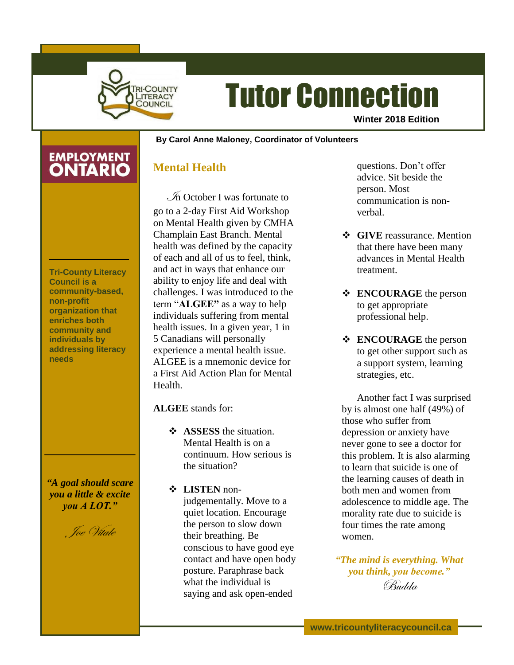

# Tutor Connection

**Winter 2018 Edition**

#### **By Carol Anne Maloney, Coordinator of Volunteers**

## **EMPLOYMENT**

## **Mental Health**

**Tri-County Literacy Council is a community-based, non-profit organization that enriches both community and individuals by addressing literacy needs**

*"A goal should scare you a little & excite you A LOT."*

Joe Vitale

 $\mathcal{I}$  October I was fortunate to go to a 2-day First Aid Workshop on Mental Health given by CMHA Champlain East Branch. Mental health was defined by the capacity of each and all of us to feel, think, and act in ways that enhance our ability to enjoy life and deal with challenges. I was introduced to the term "**ALGEE"** as a way to help individuals suffering from mental health issues. In a given year, 1 in 5 Canadians will personally experience a mental health issue. ALGEE is a mnemonic device for a First Aid Action Plan for Mental Health.

## **ALGEE** stands for:

- **ASSESS** the situation. Mental Health is on a continuum. How serious is the situation?
- **LISTEN** nonjudgementally. Move to a quiet location. Encourage the person to slow down their breathing. Be conscious to have good eye contact and have open body posture. Paraphrase back what the individual is saying and ask open-ended

questions. Don't offer advice. Sit beside the person. Most communication is nonverbal.

- **❖** GIVE reassurance. Mention that there have been many advances in Mental Health treatment.
- **ENCOURAGE** the person to get appropriate professional help.
- **ENCOURAGE** the person to get other support such as a support system, learning strategies, etc.

Another fact I was surprised by is almost one half (49%) of those who suffer from depression or anxiety have never gone to see a doctor for this problem. It is also alarming to learn that suicide is one of the learning causes of death in both men and women from adolescence to middle age. The morality rate due to suicide is four times the rate among women.

*"The mind is everything. What you think, you become."* Budda